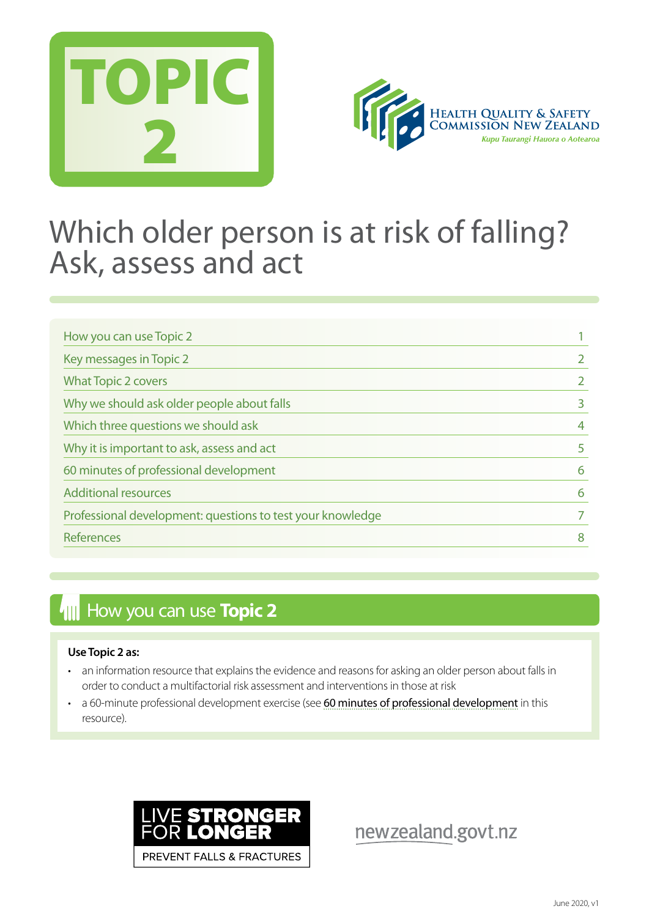



## Which older person is at risk of falling? Ask, assess and act

| How you can use Topic 2                                    |             |
|------------------------------------------------------------|-------------|
| Key messages in Topic 2                                    |             |
| <b>What Topic 2 covers</b>                                 |             |
| Why we should ask older people about falls                 | 3<br>4<br>5 |
| Which three questions we should ask                        |             |
| Why it is important to ask, assess and act                 |             |
| 60 minutes of professional development                     | 6           |
| <b>Additional resources</b>                                | 6           |
| Professional development: questions to test your knowledge |             |
| References                                                 | 8           |

## **How you can use Topic 2**

#### **Use Topic 2 as:**

- an information resource that explains the evidence and reasons for asking an older person about falls in order to conduct a multifactorial risk assessment and interventions in those at risk
- a 60-minute professional development exercise (see [60 minutes of professional development](#page-5-0) in this resource).



newzealand.govt.nz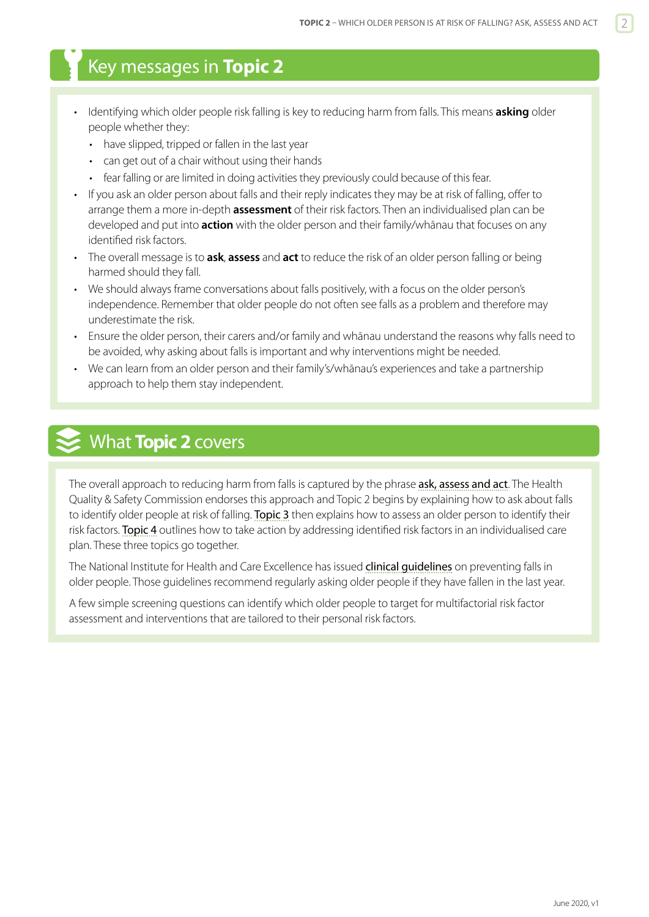## <span id="page-1-0"></span>Key messages in **Topic 2**

- Identifying which older people risk falling is key to reducing harm from falls. This means **asking** older people whether they:
	- have slipped, tripped or fallen in the last year
	- can get out of a chair without using their hands
	- fear falling or are limited in doing activities they previously could because of this fear.
- If you ask an older person about falls and their reply indicates they may be at risk of falling, offer to arrange them a more in-depth **assessment** of their risk factors. Then an individualised plan can be developed and put into **action** with the older person and their family/whānau that focuses on any identified risk factors.
- The overall message is to **ask**, **assess** and **act** to reduce the risk of an older person falling or being harmed should they fall.
- We should always frame conversations about falls positively, with a focus on the older person's independence. Remember that older people do not often see falls as a problem and therefore may underestimate the risk.
- Ensure the older person, their carers and/or family and whānau understand the reasons why falls need to be avoided, why asking about falls is important and why interventions might be needed.
- We can learn from an older person and their family's/whānau's experiences and take a partnership approach to help them stay independent.

## What **Topic 2** covers

The overall approach to reducing harm from falls is captured by the phrase [ask, assess and act](http://www.hqsc.govt.nz/our-programmes/reducing-harm-from-falls/projects/ask-assess-act/). The Health Quality & Safety Commission endorses this approach and Topic 2 begins by explaining how to ask about falls to identify older people at risk of falling. [Topic 3](https://www.hqsc.govt.nz/our-programmes/reducing-harm-from-falls/publications-and-resources/publication/2874) then explains how to assess an older person to identify their risk factors. [Topic 4](https://www.hqsc.govt.nz/our-programmes/reducing-harm-from-falls/publications-and-resources/publication/2891) outlines how to take action by addressing identified risk factors in an individualised care plan. These three topics go together.

The National Institute for Health and Care Excellence has issued clinical quidelines on preventing falls in older people. Those guidelines recommend regularly asking older people if they have fallen in the last year.

A few simple screening questions can identify which older people to target for multifactorial risk factor assessment and interventions that are tailored to their personal risk factors.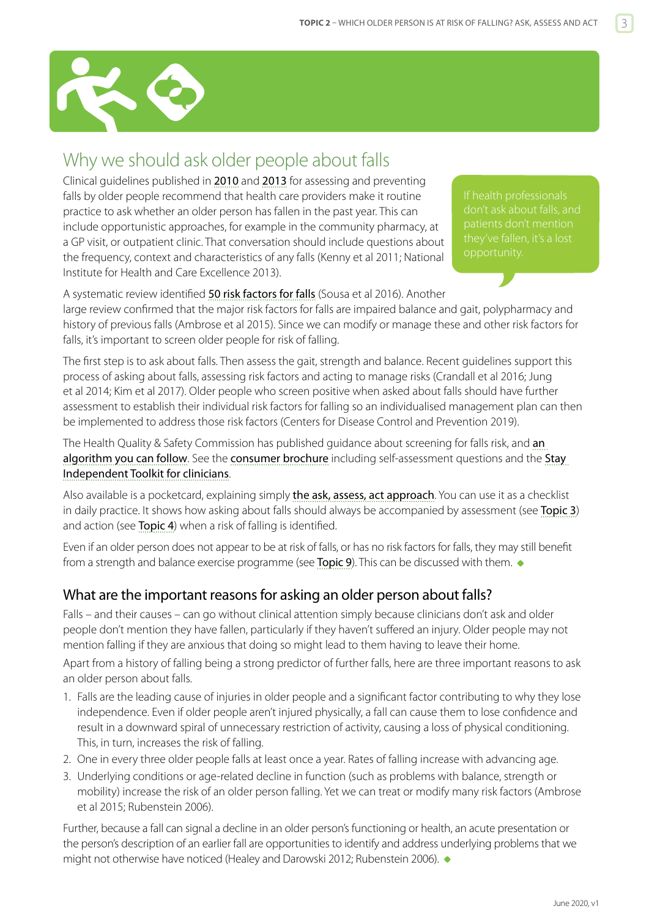<span id="page-2-0"></span>

## Why we should ask older people about falls

Clinical guidelines published in [2010](http://www.americangeriatrics.org/files/documents/health_care_pros/Falls.Summary.Guide.pdf) and [2013](http://guidance.nice.org.uk/CG161) for assessing and preventing falls by older people recommend that health care providers make it routine practice to ask whether an older person has fallen in the past year. This can include opportunistic approaches, for example in the community pharmacy, at a GP visit, or outpatient clinic. That conversation should include questions about the frequency, context and characteristics of any falls (Kenny et al 2011; National Institute for Health and Care Excellence 2013).

don't ask about falls, and

A systematic review identified [50 risk factors for falls](http://www.scielo.br/scielo.php?script=sci_arttext&pid=S1983-14472016000400601&lng=en&nrm=iso&tlng=en) (Sousa et al 2016). Another large review confirmed that the major risk factors for falls are impaired balance and gait, polypharmacy and history of previous falls (Ambrose et al 2015). Since we can modify or manage these and other risk factors for falls, it's important to screen older people for risk of falling.

The first step is to ask about falls. Then assess the gait, strength and balance. Recent guidelines support this process of asking about falls, assessing risk factors and acting to manage risks (Crandall et al 2016; Jung et al 2014; Kim et al 2017). Older people who screen positive when asked about falls should have further assessment to establish their individual risk factors for falling so an individualised management plan can then be implemented to address those risk factors (Centers for Disease Control and Prevention 2019).

The Health Quality & Safety Commission has published quidance about screening for falls risk, and an [algorithm you can follow](https://www.hqsc.govt.nz/assets/Falls/PR/002-falls-toolkit-algorithm.pdf). See the [consumer brochure](http://www.hqsc.govt.nz/assets/Falls/PR/stay-independent-toolkit-brochure-Jul-2015.pdf) including self-assessment questions and the Stay [Independent Toolkit for clinicians](http://www.hqsc.govt.nz/our-programmes/reducing-harm-from-falls/projects/primary-and-community-care/stay-independent-toolkit/).

Also available is a pocketcard, explaining simply [the ask, assess, act approach](http://www.hqsc.govt.nz/our-programmes/reducing-harm-from-falls/publications-and-resources/publication/1025/). You can use it as a checklist in daily practice. It shows how asking about falls should always be accompanied by assessment (see [Topic 3](https://www.hqsc.govt.nz/our-programmes/reducing-harm-from-falls/publications-and-resources/publication/2874)) and action (see [Topic 4](https://www.hqsc.govt.nz/our-programmes/reducing-harm-from-falls/publications-and-resources/publication/2891)) when a risk of falling is identified.

Even if an older person does not appear to be at risk of falls, or has no risk factors for falls, they may still benefit from a strength and balance exercise programme (see [Topic 9](https://www.hqsc.govt.nz/our-programmes/reducing-harm-from-falls/publications-and-resources/publication/2882/)). This can be discussed with them.  $\bullet$ 

### What are the important reasons for asking an older person about falls?

Falls – and their causes – can go without clinical attention simply because clinicians don't ask and older people don't mention they have fallen, particularly if they haven't suffered an injury. Older people may not mention falling if they are anxious that doing so might lead to them having to leave their home.

Apart from a history of falling being a strong predictor of further falls, here are three important reasons to ask an older person about falls.

- 1. Falls are the leading cause of injuries in older people and a significant factor contributing to why they lose independence. Even if older people aren't injured physically, a fall can cause them to lose confidence and result in a downward spiral of unnecessary restriction of activity, causing a loss of physical conditioning. This, in turn, increases the risk of falling.
- 2. One in every three older people falls at least once a year. Rates of falling increase with advancing age.
- 3. Underlying conditions or age-related decline in function (such as problems with balance, strength or mobility) increase the risk of an older person falling. Yet we can treat or modify many risk factors (Ambrose et al 2015; Rubenstein 2006).

Further, because a fall can signal a decline in an older person's functioning or health, an acute presentation or the person's description of an earlier fall are opportunities to identify and address underlying problems that we might not otherwise have noticed (Healey and Darowski 2012; Rubenstein 2006).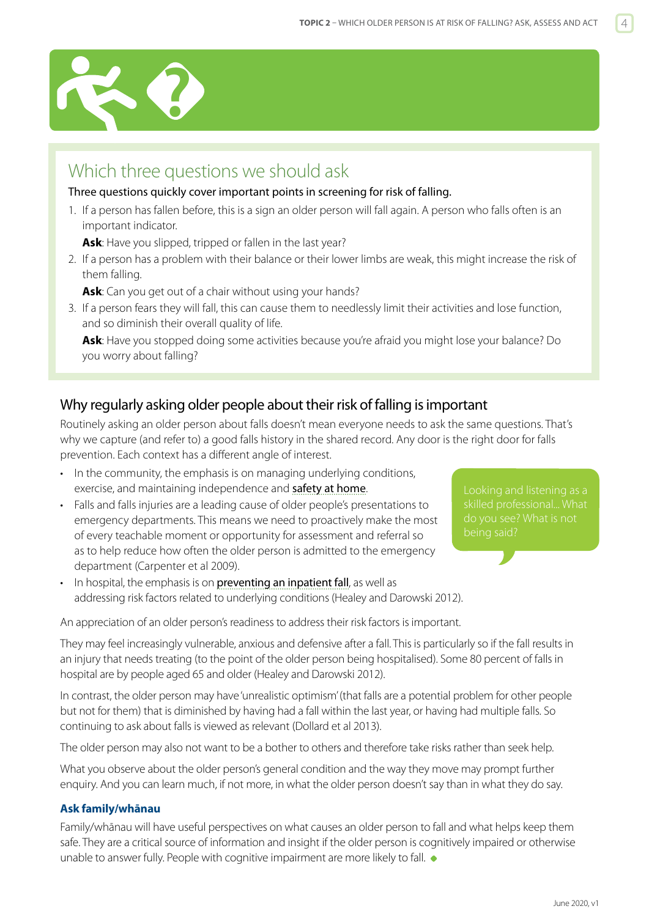<span id="page-3-0"></span>

## Which three questions we should ask

Three questions quickly cover important points in screening for risk of falling.

1. If a person has fallen before, this is a sign an older person will fall again. A person who falls often is an important indicator.

**Ask**: Have you slipped, tripped or fallen in the last year?

2. If a person has a problem with their balance or their lower limbs are weak, this might increase the risk of them falling.

**Ask**: Can you get out of a chair without using your hands?

3. If a person fears they will fall, this can cause them to needlessly limit their activities and lose function, and so diminish their overall quality of life.

**Ask**: Have you stopped doing some activities because you're afraid you might lose your balance? Do you worry about falling?

#### Why regularly asking older people about their risk of falling is important

Routinely asking an older person about falls doesn't mean everyone needs to ask the same questions. That's why we capture (and refer to) a good falls history in the shared record. Any door is the right door for falls prevention. Each context has a different angle of interest.

• In the community, the emphasis is on managing underlying conditions, exercise, and maintaining independence and [safety at home](http://www.acc.co.nz/PRD_EXT_CSMP/groups/external_ip/documents/checklist/prd_ctrb122330.pdf).

In hospital, the emphasis is on **[preventing an inpatient fall](http://www.hqsc.govt.nz/our-programmes/reducing-harm-from-falls/publications-and-resources/publication/980/)**, as well as

• Falls and falls injuries are a leading cause of older people's presentations to emergency departments. This means we need to proactively make the most of every teachable moment or opportunity for assessment and referral so as to help reduce how often the older person is admitted to the emergency department (Carpenter et al 2009).

skilled professional... What do you see? What is not

addressing risk factors related to underlying conditions (Healey and Darowski 2012).

An appreciation of an older person's readiness to address their risk factors is important.

They may feel increasingly vulnerable, anxious and defensive after a fall. This is particularly so if the fall results in an injury that needs treating (to the point of the older person being hospitalised). Some 80 percent of falls in hospital are by people aged 65 and older (Healey and Darowski 2012).

In contrast, the older person may have 'unrealistic optimism' (that falls are a potential problem for other people but not for them) that is diminished by having had a fall within the last year, or having had multiple falls. So continuing to ask about falls is viewed as relevant (Dollard et al 2013).

The older person may also not want to be a bother to others and therefore take risks rather than seek help.

What you observe about the older person's general condition and the way they move may prompt further enquiry. And you can learn much, if not more, in what the older person doesn't say than in what they do say.

#### **Ask family/whānau**

Family/whānau will have useful perspectives on what causes an older person to fall and what helps keep them safe. They are a critical source of information and insight if the older person is cognitively impaired or otherwise unable to answer fully. People with cognitive impairment are more likely to fall.  $\bullet$ 

June 2020, v1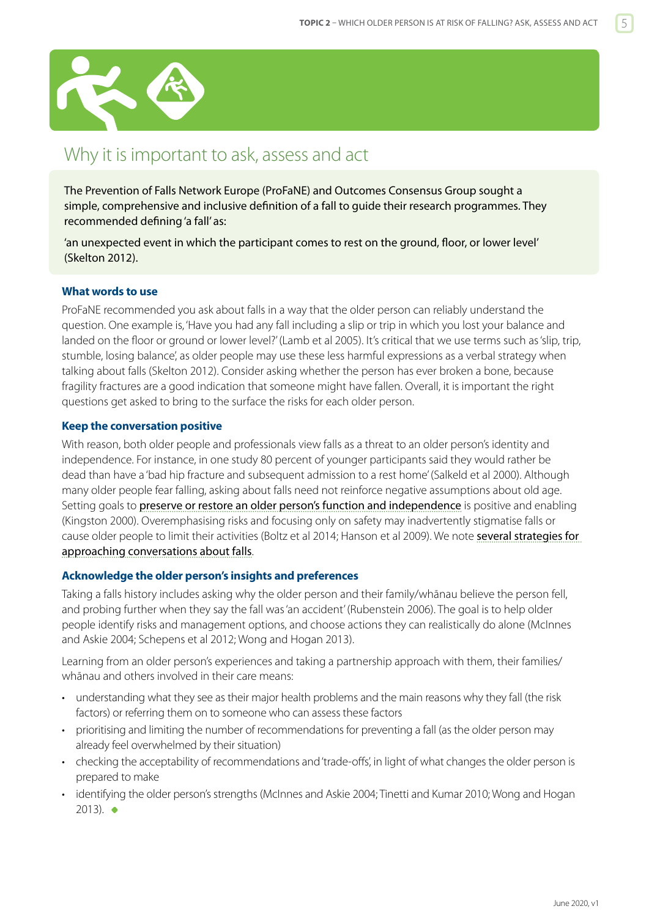<span id="page-4-0"></span>

## Why it is important to ask, assess and act

The Prevention of Falls Network Europe (ProFaNE) and Outcomes Consensus Group sought a simple, comprehensive and inclusive definition of a fall to guide their research programmes. They recommended defining 'a fall' as:

'an unexpected event in which the participant comes to rest on the ground, floor, or lower level' (Skelton 2012).

#### **What words to use**

ProFaNE recommended you ask about falls in a way that the older person can reliably understand the question. One example is, 'Have you had any fall including a slip or trip in which you lost your balance and landed on the floor or ground or lower level?' (Lamb et al 2005). It's critical that we use terms such as 'slip, trip, stumble, losing balance', as older people may use these less harmful expressions as a verbal strategy when talking about falls (Skelton 2012). Consider asking whether the person has ever broken a bone, because fragility fractures are a good indication that someone might have fallen. Overall, it is important the right questions get asked to bring to the surface the risks for each older person.

#### **Keep the conversation positive**

With reason, both older people and professionals view falls as a threat to an older person's identity and independence. For instance, in one study 80 percent of younger participants said they would rather be dead than have a 'bad hip fracture and subsequent admission to a rest home' (Salkeld et al 2000). Although many older people fear falling, asking about falls need not reinforce negative assumptions about old age. Setting goals to [preserve or restore an older person's function and independence](https://www.hqsc.govt.nz/our-programmes/reducing-harm-from-falls/publications-and-resources/publication/2882) is positive and enabling (Kingston 2000). Overemphasising risks and focusing only on safety may inadvertently stigmatise falls or cause older people to limit their activities (Boltz et al 2014; Hanson et al 2009). We note [several strategies for](http://www.hqsc.govt.nz/assets/Falls/PR/009-falls-toolkit-talking-about-prevention.pdf)  [approaching conversations about falls](http://www.hqsc.govt.nz/assets/Falls/PR/009-falls-toolkit-talking-about-prevention.pdf).

#### **Acknowledge the older person's insights and preferences**

Taking a falls history includes asking why the older person and their family/whānau believe the person fell, and probing further when they say the fall was 'an accident' (Rubenstein 2006). The goal is to help older people identify risks and management options, and choose actions they can realistically do alone (McInnes and Askie 2004; Schepens et al 2012; Wong and Hogan 2013).

Learning from an older person's experiences and taking a partnership approach with them, their families/ whānau and others involved in their care means:

- understanding what they see as their major health problems and the main reasons why they fall (the risk factors) or referring them on to someone who can assess these factors
- prioritising and limiting the number of recommendations for preventing a fall (as the older person may already feel overwhelmed by their situation)
- checking the acceptability of recommendations and 'trade-offs', in light of what changes the older person is prepared to make
- identifying the older person's strengths (McInnes and Askie 2004; Tinetti and Kumar 2010; Wong and Hogan  $2013$ .  $\bullet$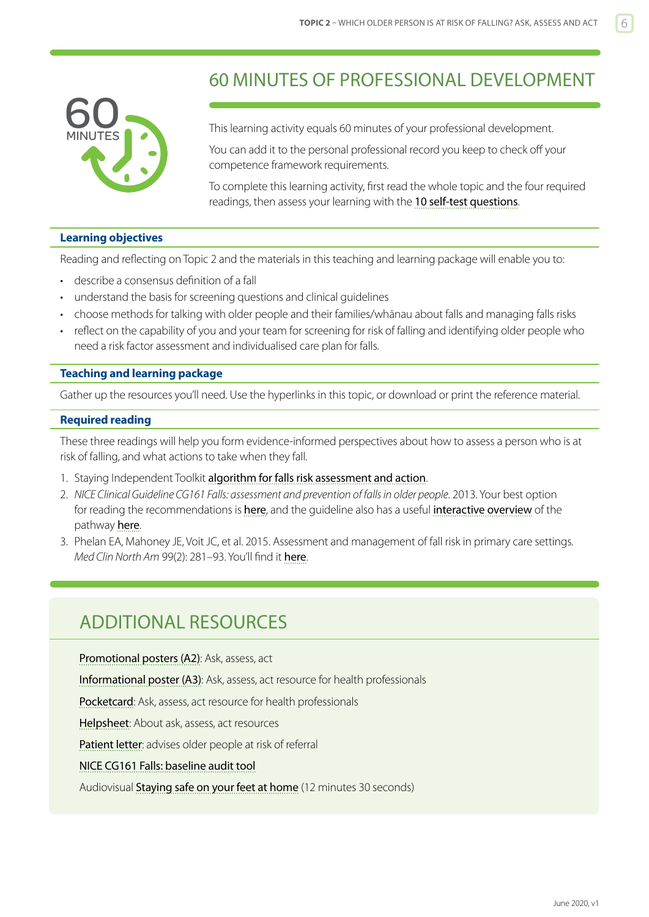<span id="page-5-0"></span>

## 60 MINUTES OF PROFESSIONAL DEVELOPMENT

This learning activity equals 60 minutes of your professional development.

You can add it to the personal professional record you keep to check off your competence framework requirements.

To complete this learning activity, first read the whole topic and the four required readings, then assess your learning with the [10 self-test questions](#page-6-0).

#### **Learning objectives**

Reading and reflecting on Topic 2 and the materials in this teaching and learning package will enable you to:

- describe a consensus definition of a fall
- understand the basis for screening questions and clinical guidelines
- choose methods for talking with older people and their families/whānau about falls and managing falls risks
- reflect on the capability of you and your team for screening for risk of falling and identifying older people who need a risk factor assessment and individualised care plan for falls.

#### **Teaching and learning package**

Gather up the resources you'll need. Use the hyperlinks in this topic, or download or print the reference material.

#### **Required reading**

These three readings will help you form evidence-informed perspectives about how to assess a person who is at risk of falling, and what actions to take when they fall.

- 1. Staying Independent Toolkit [algorithm for falls risk assessment and action](http://www.hqsc.govt.nz/assets/Falls/PR/002-falls-toolkit-algorithm.pdf).
- 2. *NICE Clinical Guideline CG161 Falls: assessment and prevention of falls in older people*. 2013. Your best option for reading the recommendations is [here](https://www.nice.org.uk/guidance/cg161), and the quideline also has a useful [interactive overview](http://pathways.nice.org.uk/pathways/falls-in-older-people) of the pathway [here](http://pathways.nice.org.uk/pathways/falls-in-older-people).
- 3. Phelan EA, Mahoney JE, Voit JC, et al. 2015. Assessment and management of fall risk in primary care settings. *Med Clin North Am* 99(2): 281–93. You'll find it [here](https://www.ncbi.nlm.nih.gov/pmc/articles/PMC4707663/).

## ADDITIONAL RESOURCES

[Promotional posters \(A2\)](http://www.hqsc.govt.nz/our-programmes/reducing-harm-from-falls/publications-and-resources/publication/1024/): Ask, assess, act [Informational poster \(A3\)](http://www.hqsc.govt.nz/our-programmes/reducing-harm-from-falls/publications-and-resources/publication/1458/): Ask, assess, act resource for health professionals [Pocketcard](http://www.hqsc.govt.nz/our-programmes/reducing-harm-from-falls/publications-and-resources/publication/1025/): Ask, assess, act resource for health professionals [Helpsheet](http://www.hqsc.govt.nz/our-programmes/reducing-harm-from-falls/publications-and-resources/publication/1026/): About ask, assess, act resources [Patient letter](http://www.hqsc.govt.nz/our-programmes/reducing-harm-from-falls/publications-and-resources/publication/1310/): advises older people at risk of referral [NICE CG161 Falls: baseline audit tool](https://www.nice.org.uk/guidance/cg161/resources) Audiovisual [Staying safe on your feet at home](http://www.open.hqsc.govt.nz/falls/publications-and-resources/publication/915/) (12 minutes 30 seconds)

June 2020, v1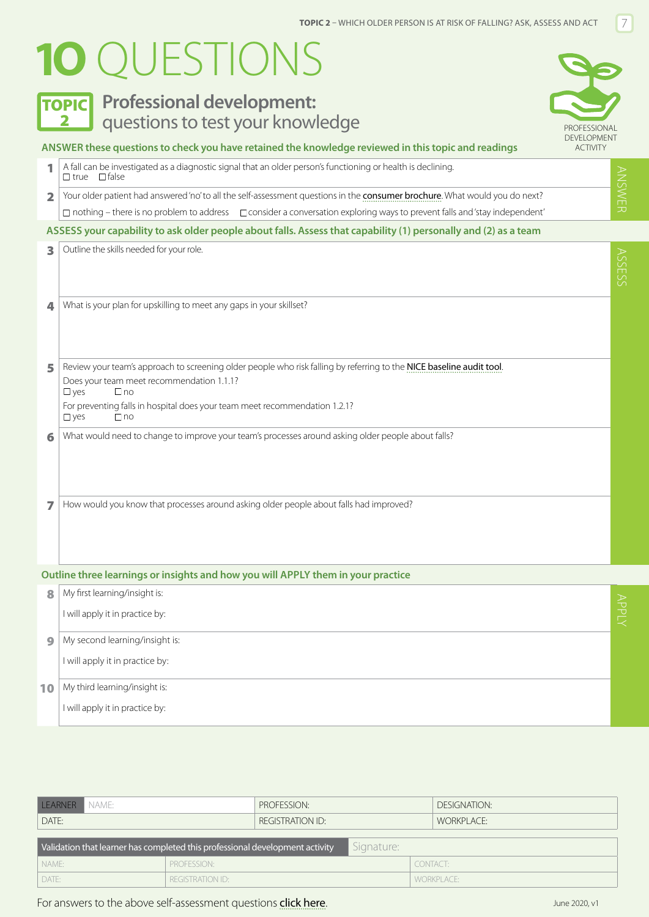# <span id="page-6-0"></span>**1O** QUESTIONS



## **TOPIC** Professional development: 2 **Questions to test your knowledge Example 2 APROFESSIONAL**



ANSWER

ANSWER

ASSES

#### **ANSWER these questions to check you have retained the knowledge reviewed in this topic and readings**

|                                                                                                                 | A fall can be investigated as a diagnostic signal that an older person's functioning or health is declining.<br>$\Box$ true $\Box$ false |  |  |  |  |
|-----------------------------------------------------------------------------------------------------------------|------------------------------------------------------------------------------------------------------------------------------------------|--|--|--|--|
| $\overline{\mathbf{2}}$                                                                                         | Your older patient had answered 'no' to all the self-assessment questions in the consumer brochure. What would you do next?              |  |  |  |  |
|                                                                                                                 | $\Box$ nothing – there is no problem to address $\Box$ consider a conversation exploring ways to prevent falls and 'stay independent'    |  |  |  |  |
| ASSESS your capability to ask older people about falls. Assess that capability (1) personally and (2) as a team |                                                                                                                                          |  |  |  |  |
| 3                                                                                                               | Outline the skills needed for your role.                                                                                                 |  |  |  |  |
| $\Delta$                                                                                                        | What is your plan for upskilling to meet any gaps in your skillset?                                                                      |  |  |  |  |

| 5              | Review your team's approach to screening older people who risk falling by referring to the NICE baseline audit tool. |
|----------------|----------------------------------------------------------------------------------------------------------------------|
|                | Does your team meet recommendation 1.1.1?                                                                            |
|                | $\square$ ves<br>$\Box$ no                                                                                           |
|                | For preventing falls in hospital does your team meet recommendation 1.2.1?                                           |
|                | <b>T</b> yes<br>$\Box$ no                                                                                            |
| 6 <sup>1</sup> | What would need to change to improve your team's processes around asking older people about falls?                   |

7 How would you know that processes around asking older people about falls had improved?

#### **Outline three learnings or insights and how you will APPLY them in your practice**

| 8         | My first learning/insight is:   |            |
|-----------|---------------------------------|------------|
|           | I will apply it in practice by: | $T_{\tau}$ |
| $\bullet$ | My second learning/insight is:  |            |
|           | I will apply it in practice by: |            |
| 10        | My third learning/insight is:   |            |
|           | I will apply it in practice by: |            |

| LEARNER<br>NAME:                                                                           | PROFESSION:      |  |            | DESIGNATION: |  |  |  |  |
|--------------------------------------------------------------------------------------------|------------------|--|------------|--------------|--|--|--|--|
| DATE:                                                                                      | REGISTRATION ID: |  |            | WORKPLACE:   |  |  |  |  |
| Signature:<br>Validation that learner has completed this professional development activity |                  |  |            |              |  |  |  |  |
| NAME:                                                                                      | PROFESSION:      |  | CONTACT:   |              |  |  |  |  |
| DATE:<br><b>REGISTRATION ID:</b>                                                           |                  |  | WORKPLACE: |              |  |  |  |  |

#### For answers to the above self-assessment questions [click here](https://www.hqsc.govt.nz/our-programmes/reducing-harm-from-falls/10-topics/10-topics-answers).